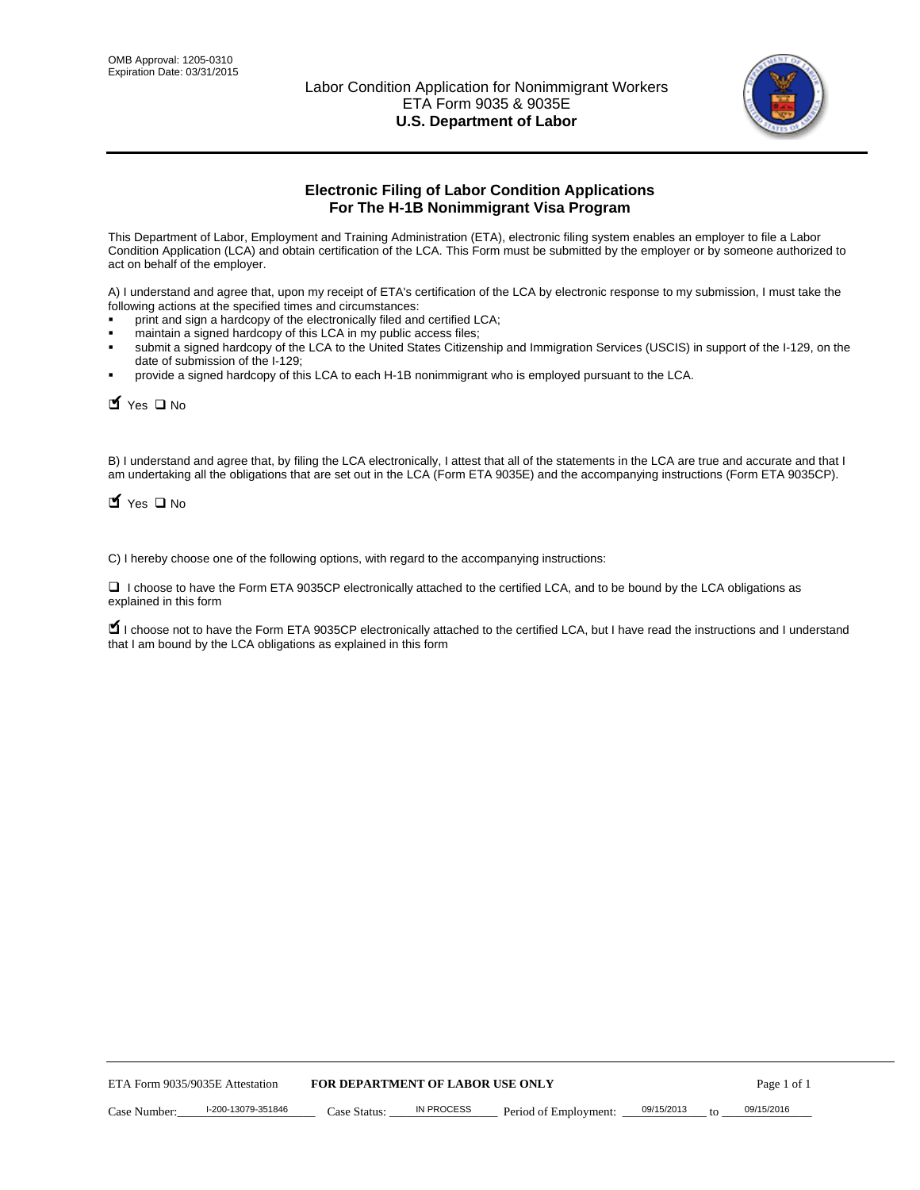

# **Electronic Filing of Labor Condition Applications For The H-1B Nonimmigrant Visa Program**

This Department of Labor, Employment and Training Administration (ETA), electronic filing system enables an employer to file a Labor Condition Application (LCA) and obtain certification of the LCA. This Form must be submitted by the employer or by someone authorized to act on behalf of the employer.

A) I understand and agree that, upon my receipt of ETA's certification of the LCA by electronic response to my submission, I must take the following actions at the specified times and circumstances:

- print and sign a hardcopy of the electronically filed and certified LCA;
- maintain a signed hardcopy of this LCA in my public access files;
- submit a signed hardcopy of the LCA to the United States Citizenship and Immigration Services (USCIS) in support of the I-129, on the date of submission of the I-129;
- provide a signed hardcopy of this LCA to each H-1B nonimmigrant who is employed pursuant to the LCA.

 $\blacksquare$  Yes  $\square$  No

B) I understand and agree that, by filing the LCA electronically, I attest that all of the statements in the LCA are true and accurate and that I am undertaking all the obligations that are set out in the LCA (Form ETA 9035E) and the accompanying instructions (Form ETA 9035CP).

 $\blacksquare$  Yes  $\square$  No

C) I hereby choose one of the following options, with regard to the accompanying instructions:

□ I choose to have the Form ETA 9035CP electronically attached to the certified LCA, and to be bound by the LCA obligations as explained in this form

■ I choose not to have the Form ETA 9035CP electronically attached to the certified LCA, but I have read the instructions and I understand that I am bound by the LCA obligations as explained in this form

|              | ETA Form 9035/9035E Attestation | <b>FOR DEPARTMENT OF LABOR USE ONLY</b> |            |                       |            | Page 1 of 1 |
|--------------|---------------------------------|-----------------------------------------|------------|-----------------------|------------|-------------|
| Case Number: | I-200-13079-351846              | Case Status:                            | IN PROCESS | Period of Employment: | 09/15/2013 | 09/15/2016  |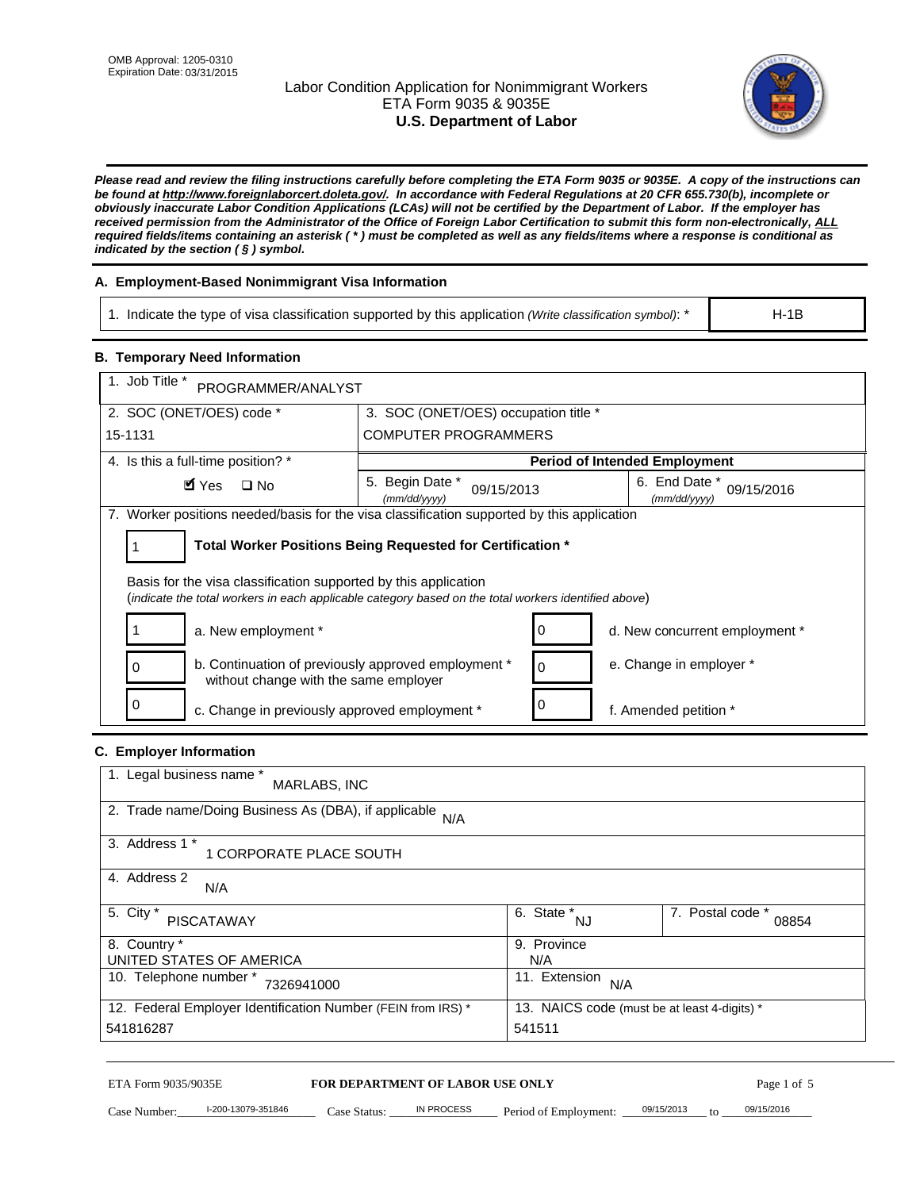## Labor Condition Application for Nonimmigrant Workers ETA Form 9035 & 9035E **U.S. Department of Labor**



*Please read and review the filing instructions carefully before completing the ETA Form 9035 or 9035E. A copy of the instructions can be found at http://www.foreignlaborcert.doleta.gov/. In accordance with Federal Regulations at 20 CFR 655.730(b), incomplete or obviously inaccurate Labor Condition Applications (LCAs) will not be certified by the Department of Labor. If the employer has received permission from the Administrator of the Office of Foreign Labor Certification to submit this form non-electronically, ALL required fields/items containing an asterisk ( \* ) must be completed as well as any fields/items where a response is conditional as indicated by the section ( § ) symbol.* 

## **A. Employment-Based Nonimmigrant Visa Information**

1. Indicate the type of visa classification supported by this application *(Write classification symbol)*: \*

H-1B

### **B. Temporary Need Information**

| 1. Job Title *<br>PROGRAMMER/ANALYST                                                                                                                                    |                                                            |                             |                                      |  |  |  |  |  |
|-------------------------------------------------------------------------------------------------------------------------------------------------------------------------|------------------------------------------------------------|-----------------------------|--------------------------------------|--|--|--|--|--|
| 2. SOC (ONET/OES) code *                                                                                                                                                | 3. SOC (ONET/OES) occupation title *                       |                             |                                      |  |  |  |  |  |
| 15-1131                                                                                                                                                                 |                                                            | <b>COMPUTER PROGRAMMERS</b> |                                      |  |  |  |  |  |
| 4. Is this a full-time position? *                                                                                                                                      |                                                            |                             | <b>Period of Intended Employment</b> |  |  |  |  |  |
| 5. Begin Date *<br>6. End Date *<br>$\blacksquare$ Yes<br>$\Box$ No<br>09/15/2016<br>09/15/2013<br>(mm/dd/yyyy)<br>(mm/dd/yyyy)                                         |                                                            |                             |                                      |  |  |  |  |  |
| 7. Worker positions needed/basis for the visa classification supported by this application                                                                              |                                                            |                             |                                      |  |  |  |  |  |
|                                                                                                                                                                         | Total Worker Positions Being Requested for Certification * |                             |                                      |  |  |  |  |  |
| Basis for the visa classification supported by this application<br>(indicate the total workers in each applicable category based on the total workers identified above) |                                                            |                             |                                      |  |  |  |  |  |
| a. New employment *                                                                                                                                                     |                                                            |                             | d. New concurrent employment *       |  |  |  |  |  |
| b. Continuation of previously approved employment *<br>0<br>without change with the same employer                                                                       |                                                            | $\Omega$                    | e. Change in employer *              |  |  |  |  |  |
| $\Omega$<br>c. Change in previously approved employment *                                                                                                               |                                                            |                             | f. Amended petition *                |  |  |  |  |  |

#### **C. Employer Information**

| 1. Legal business name *<br>MARLABS, INC                     |                                              |                           |
|--------------------------------------------------------------|----------------------------------------------|---------------------------|
| 2. Trade name/Doing Business As (DBA), if applicable<br>N/A  |                                              |                           |
| 3. Address 1 *<br>1 CORPORATE PLACE SOUTH                    |                                              |                           |
| 4. Address 2<br>N/A                                          |                                              |                           |
| 5. City *<br>PISCATAWAY                                      | 6. State *<br>NJ                             | 7. Postal code *<br>08854 |
| 8. Country *                                                 | 9. Province                                  |                           |
| UNITED STATES OF AMERICA                                     | N/A                                          |                           |
| 10. Telephone number *<br>7326941000                         | 11. Extension<br>N/A                         |                           |
| 12. Federal Employer Identification Number (FEIN from IRS) * | 13. NAICS code (must be at least 4-digits) * |                           |
| 541816287                                                    | 541511                                       |                           |

#### ETA Form 9035/9035E **FOR DEPARTMENT OF LABOR USE ONLY**

Case Number:  $\frac{1-200-13079-351846}{200}$  Case Status:  $\frac{1}{2}$  IN PROCESS Period of Employment:  $\frac{0.09/15/2013}{200}$  to  $\frac{0.09/15/2016}{200}$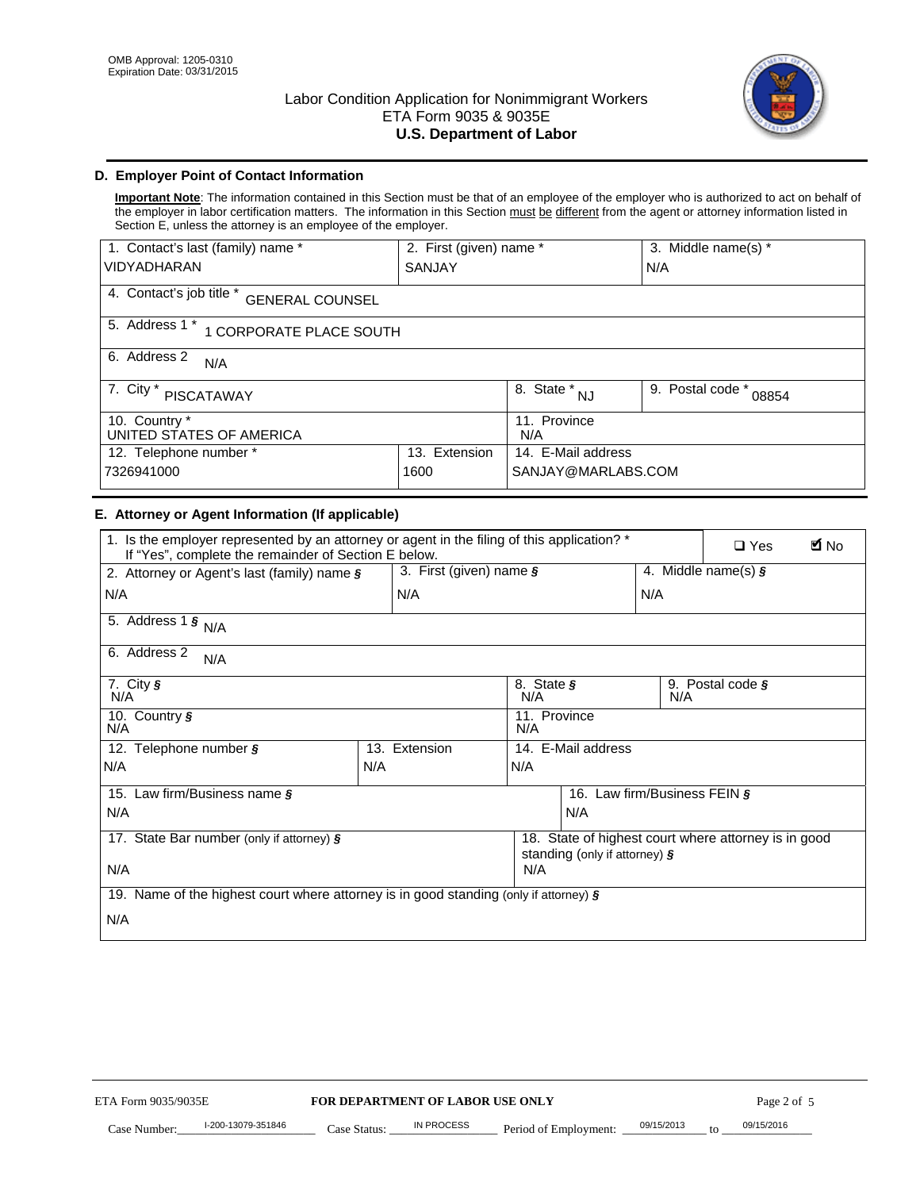

## **D. Employer Point of Contact Information**

**Important Note**: The information contained in this Section must be that of an employee of the employer who is authorized to act on behalf of the employer in labor certification matters. The information in this Section must be different from the agent or attorney information listed in Section E, unless the attorney is an employee of the employer.

| 1. Contact's last (family) name *<br>2. First (given) name * |                         |                           | 3. Middle name(s) * |  |  |  |
|--------------------------------------------------------------|-------------------------|---------------------------|---------------------|--|--|--|
| <b>VIDYADHARAN</b>                                           | SANJAY                  |                           | N/A                 |  |  |  |
| 4. Contact's job title *<br><b>GENERAL COUNSEL</b>           |                         |                           |                     |  |  |  |
| 5. Address 1 *<br>1 CORPORATE PLACE SOUTH                    |                         |                           |                     |  |  |  |
| 6. Address 2<br>N/A                                          |                         |                           |                     |  |  |  |
| 7. City $*$<br><b>PISCATAWAY</b>                             | 8. State *<br><b>NJ</b> | 9. Postal code *<br>08854 |                     |  |  |  |
| 10. Country *<br>UNITED STATES OF AMERICA                    | 11. Province<br>N/A     |                           |                     |  |  |  |
| 12. Telephone number *<br>Extension<br>13.                   |                         | 14. E-Mail address        |                     |  |  |  |
| 7326941000<br>1600                                           |                         | SANJAY@MARLABS.COM        |                     |  |  |  |

### **E. Attorney or Agent Information (If applicable)**

| 1. Is the employer represented by an attorney or agent in the filing of this application? *<br>If "Yes", complete the remainder of Section E below. |     |                                                      |                                             |                                             |     | <b>E</b> No<br>$\Box$ Yes |  |
|-----------------------------------------------------------------------------------------------------------------------------------------------------|-----|------------------------------------------------------|---------------------------------------------|---------------------------------------------|-----|---------------------------|--|
| 2. Attorney or Agent's last (family) name §                                                                                                         |     | 3. First (given) name $\S$                           |                                             |                                             |     | 4. Middle name(s) $\zeta$ |  |
| N/A                                                                                                                                                 |     | N/A                                                  |                                             |                                             | N/A |                           |  |
| 5. Address 1 $\frac{1}{5}$ N/A                                                                                                                      |     |                                                      |                                             |                                             |     |                           |  |
| 6. Address 2<br>N/A                                                                                                                                 |     |                                                      |                                             |                                             |     |                           |  |
| 7. City $\sqrt{s}$<br>N/A                                                                                                                           |     |                                                      | N/A                                         | 8. State §<br>9. Postal code $\zeta$<br>N/A |     |                           |  |
| 10. Country §<br>N/A                                                                                                                                |     |                                                      | 11. Province<br>N/A                         |                                             |     |                           |  |
| 12. Telephone number §                                                                                                                              |     | 13. Extension                                        | 14. E-Mail address                          |                                             |     |                           |  |
| N/A                                                                                                                                                 | N/A |                                                      | N/A                                         |                                             |     |                           |  |
| 15. Law firm/Business name §                                                                                                                        |     |                                                      | 16.<br>Law firm/Business FEIN $\frac{1}{2}$ |                                             |     |                           |  |
| N/A                                                                                                                                                 |     |                                                      | N/A                                         |                                             |     |                           |  |
| 17. State Bar number (only if attorney) §                                                                                                           |     | 18. State of highest court where attorney is in good |                                             |                                             |     |                           |  |
| N/A                                                                                                                                                 |     |                                                      | standing (only if attorney) §<br>N/A        |                                             |     |                           |  |
| 19. Name of the highest court where attorney is in good standing (only if attorney) $\zeta$                                                         |     |                                                      |                                             |                                             |     |                           |  |
| N/A                                                                                                                                                 |     |                                                      |                                             |                                             |     |                           |  |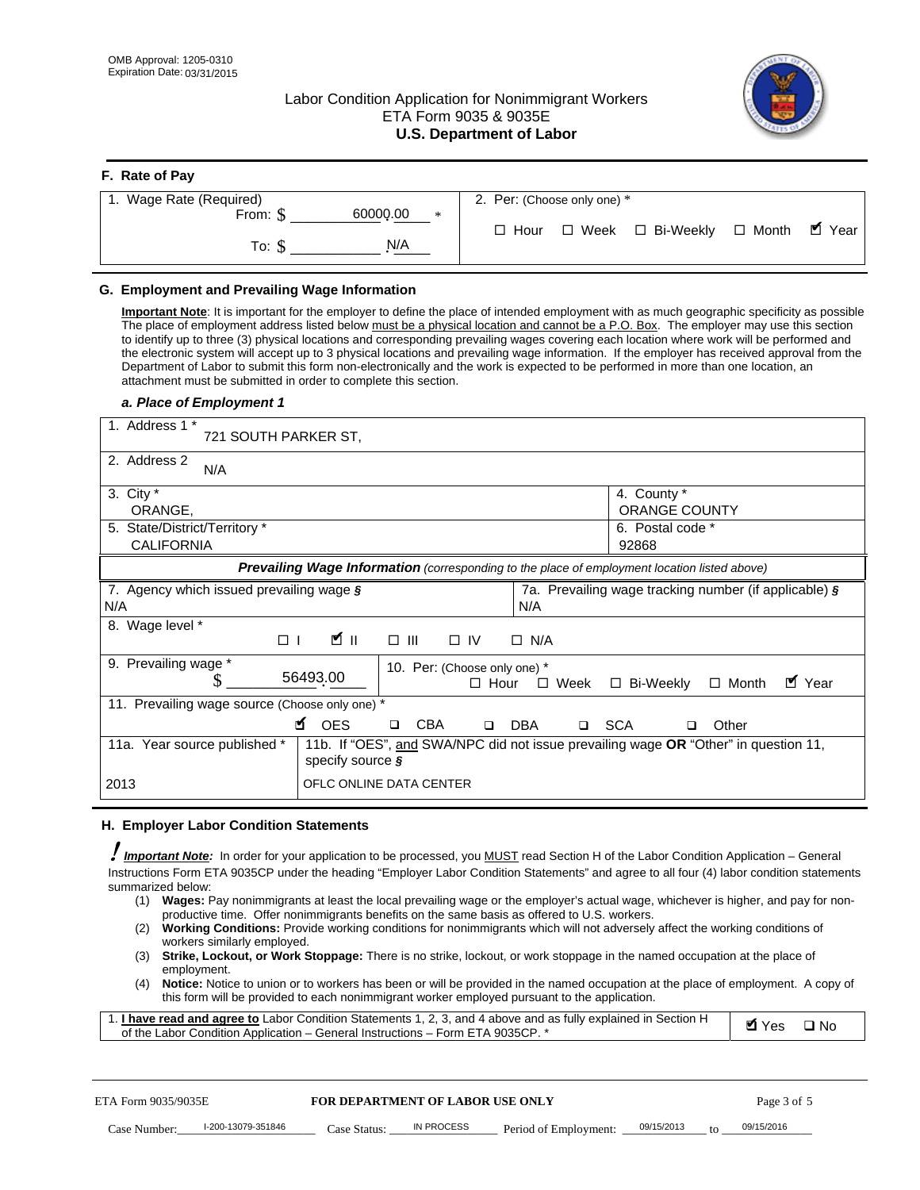**F. Rate of Pay** 

## Labor Condition Application for Nonimmigrant Workers ETA Form 9035 & 9035E **U.S. Department of Labor**



| <b>F. Rate of Pay</b>       |                                                     |
|-----------------------------|-----------------------------------------------------|
| 1. Wage Rate (Required)     | 2. Per: (Choose only one) *                         |
| 60000.00<br>From: \$<br>$*$ |                                                     |
|                             | □ Month ■ Year<br>□ Week □ Bi-Weekly<br>$\Box$ Hour |
| N/A<br>To: \$               |                                                     |
|                             |                                                     |

## **G. Employment and Prevailing Wage Information**

**Important Note**: It is important for the employer to define the place of intended employment with as much geographic specificity as possible The place of employment address listed below must be a physical location and cannot be a P.O. Box. The employer may use this section to identify up to three (3) physical locations and corresponding prevailing wages covering each location where work will be performed and the electronic system will accept up to 3 physical locations and prevailing wage information. If the employer has received approval from the Department of Labor to submit this form non-electronically and the work is expected to be performed in more than one location, an attachment must be submitted in order to complete this section.

#### *a. Place of Employment 1*

| 1. Address 1 *<br>721 SOUTH PARKER ST.                 |                                                                                                                       |
|--------------------------------------------------------|-----------------------------------------------------------------------------------------------------------------------|
| 2. Address 2<br>N/A                                    |                                                                                                                       |
| 3. City $*$<br>ORANGE,                                 | 4. County *<br>ORANGE COUNTY                                                                                          |
| 5. State/District/Territory *<br><b>CALIFORNIA</b>     | 6. Postal code *<br>92868                                                                                             |
|                                                        | <b>Prevailing Wage Information</b> (corresponding to the place of employment location listed above)                   |
| 7. Agency which issued prevailing wage §<br>N/A        | 7a. Prevailing wage tracking number (if applicable) §<br>N/A                                                          |
| Wage level *<br>8.<br>Ø∥<br>$\Box$                     | $\square$ $\square$<br>$\Box$ IV<br>$\Box$ N/A                                                                        |
| 9. Prevailing wage *<br>56493.00                       | 10. Per: (Choose only one) *<br>$\blacksquare$ Year<br>$\Box$ Week<br>$\Box$ Bi-Weekly<br>$\Box$ Month<br>$\Box$ Hour |
| 11. Prevailing wage source (Choose only one) *         |                                                                                                                       |
| <b>M</b> OES                                           | <b>CBA</b><br><b>DBA</b><br><b>SCA</b><br>Other<br>$\Box$<br>$\Box$<br>$\Box$<br>$\Box$                               |
| 11a. Year source published *<br>specify source $\zeta$ | 11b. If "OES", and SWA/NPC did not issue prevailing wage OR "Other" in question 11,                                   |
| 2013                                                   | OFLC ONLINE DATA CENTER                                                                                               |

#### **H. Employer Labor Condition Statements**

! *Important Note:* In order for your application to be processed, you MUST read Section H of the Labor Condition Application – General Instructions Form ETA 9035CP under the heading "Employer Labor Condition Statements" and agree to all four (4) labor condition statements summarized below:

- (1) **Wages:** Pay nonimmigrants at least the local prevailing wage or the employer's actual wage, whichever is higher, and pay for nonproductive time. Offer nonimmigrants benefits on the same basis as offered to U.S. workers.
- (2) **Working Conditions:** Provide working conditions for nonimmigrants which will not adversely affect the working conditions of workers similarly employed.
- (3) **Strike, Lockout, or Work Stoppage:** There is no strike, lockout, or work stoppage in the named occupation at the place of employment.
- (4) **Notice:** Notice to union or to workers has been or will be provided in the named occupation at the place of employment. A copy of this form will be provided to each nonimmigrant worker employed pursuant to the application.

| 1. I have read and agree to Labor Condition Statements 1, 2, 3, and 4 above and as fully explained in Section H | $\blacksquare$ Yes $\square$ No |  |
|-----------------------------------------------------------------------------------------------------------------|---------------------------------|--|
| of the Labor Condition Application – General Instructions – Form ETA 9035CP. *                                  |                                 |  |

| ETA Form 9035/9035E |                    | <b>FOR DEPARTMENT OF LABOR USE ONLY</b> |            |                                  |  | Page 3 of 5     |            |  |
|---------------------|--------------------|-----------------------------------------|------------|----------------------------------|--|-----------------|------------|--|
| Case Number:        | l-200-13079-351846 | Case Status:                            | IN PROCESS | Period of Employment: 09/15/2013 |  | $\overline{10}$ | 09/15/2016 |  |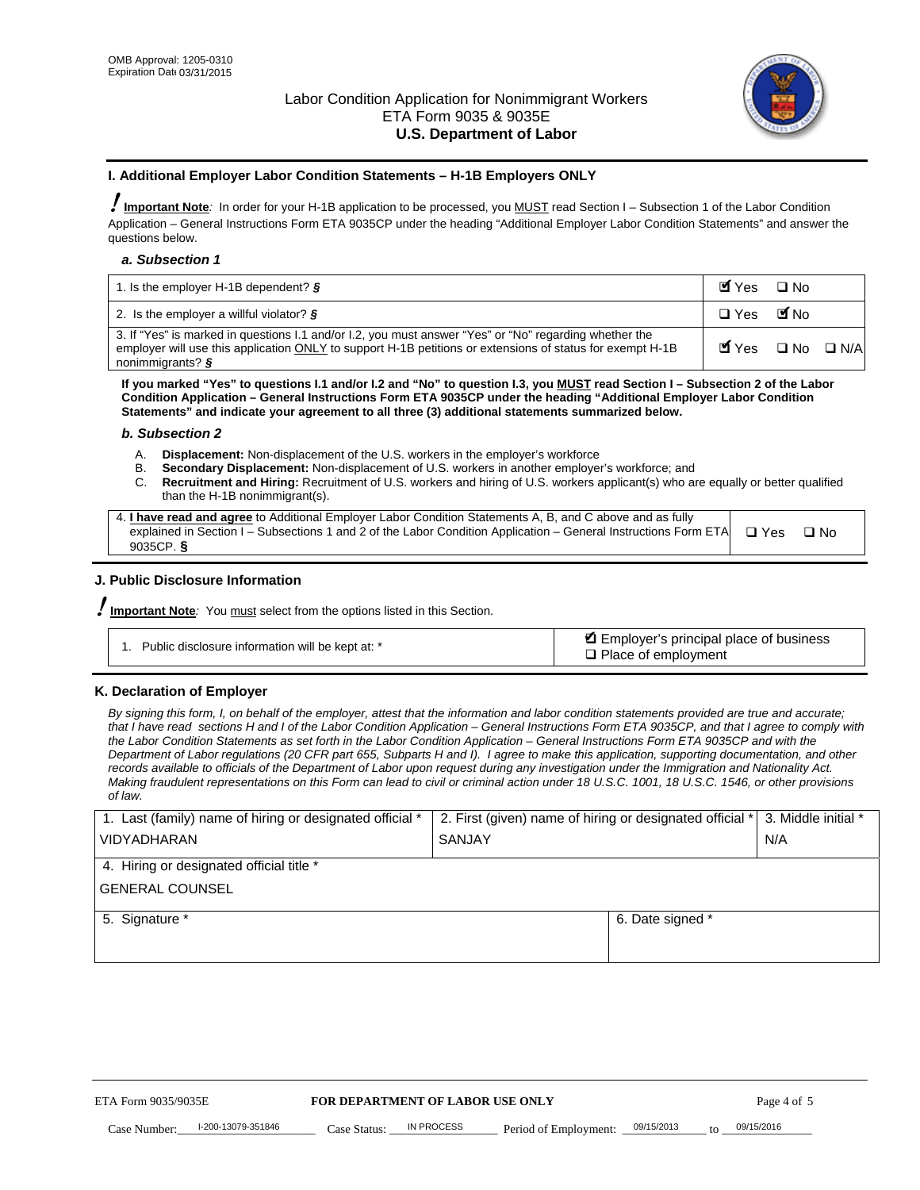

### **I. Additional Employer Labor Condition Statements – H-1B Employers ONLY**

!**Important Note***:* In order for your H-1B application to be processed, you MUST read Section I – Subsection 1 of the Labor Condition Application – General Instructions Form ETA 9035CP under the heading "Additional Employer Labor Condition Statements" and answer the questions below.

#### *a. Subsection 1*

| 1. Is the employer H-1B dependent? $\S$                                                                                                                                                                                                 | Myes                                          | $\Box$ No              |  |
|-----------------------------------------------------------------------------------------------------------------------------------------------------------------------------------------------------------------------------------------|-----------------------------------------------|------------------------|--|
| 2. Is the employer a willful violator? $\frac{1}{2}$                                                                                                                                                                                    | $\Box$ Yes                                    | <b>M</b> <sub>No</sub> |  |
| 3. If "Yes" is marked in questions 1.1 and/or 1.2, you must answer "Yes" or "No" regarding whether the<br>employer will use this application ONLY to support H-1B petitions or extensions of status for exempt H-1B<br>nonimmigrants? § | $\blacksquare$ Yes $\square$ No $\square$ N/A |                        |  |

**If you marked "Yes" to questions I.1 and/or I.2 and "No" to question I.3, you MUST read Section I – Subsection 2 of the Labor Condition Application – General Instructions Form ETA 9035CP under the heading "Additional Employer Labor Condition Statements" and indicate your agreement to all three (3) additional statements summarized below.** 

#### *b. Subsection 2*

- A. **Displacement:** Non-displacement of the U.S. workers in the employer's workforce
- B. **Secondary Displacement:** Non-displacement of U.S. workers in another employer's workforce; and
- C. **Recruitment and Hiring:** Recruitment of U.S. workers and hiring of U.S. workers applicant(s) who are equally or better qualified than the H-1B nonimmigrant(s).

| 4. I have read and agree to Additional Employer Labor Condition Statements A, B, and C above and as fully                  |      |
|----------------------------------------------------------------------------------------------------------------------------|------|
| explained in Section I – Subsections 1 and 2 of the Labor Condition Application – General Instructions Form ETA $\Box$ Yes | ∩ N∩ |
| 9035CP. $\delta$                                                                                                           |      |

## **J. Public Disclosure Information**

!**Important Note***:* You must select from the options listed in this Section.

| Public disclosure information will be kept at: * | Employer's principal place of business<br>$\Box$ Place of employment |
|--------------------------------------------------|----------------------------------------------------------------------|
|--------------------------------------------------|----------------------------------------------------------------------|

#### **K. Declaration of Employer**

*By signing this form, I, on behalf of the employer, attest that the information and labor condition statements provided are true and accurate;*  that I have read sections H and I of the Labor Condition Application – General Instructions Form ETA 9035CP, and that I agree to comply with *the Labor Condition Statements as set forth in the Labor Condition Application – General Instructions Form ETA 9035CP and with the Department of Labor regulations (20 CFR part 655, Subparts H and I). I agree to make this application, supporting documentation, and other records available to officials of the Department of Labor upon request during any investigation under the Immigration and Nationality Act. Making fraudulent representations on this Form can lead to civil or criminal action under 18 U.S.C. 1001, 18 U.S.C. 1546, or other provisions of law.* 

| 1. Last (family) name of hiring or designated official * | 2. First (given) name of hiring or designated official *   3. Middle initial * |     |
|----------------------------------------------------------|--------------------------------------------------------------------------------|-----|
| <b>VIDYADHARAN</b>                                       | <b>SANJAY</b>                                                                  | N/A |
| 4. Hiring or designated official title *                 |                                                                                |     |
| <b>GENERAL COUNSEL</b>                                   |                                                                                |     |
| 5. Signature *                                           | 6. Date signed *                                                               |     |
|                                                          |                                                                                |     |